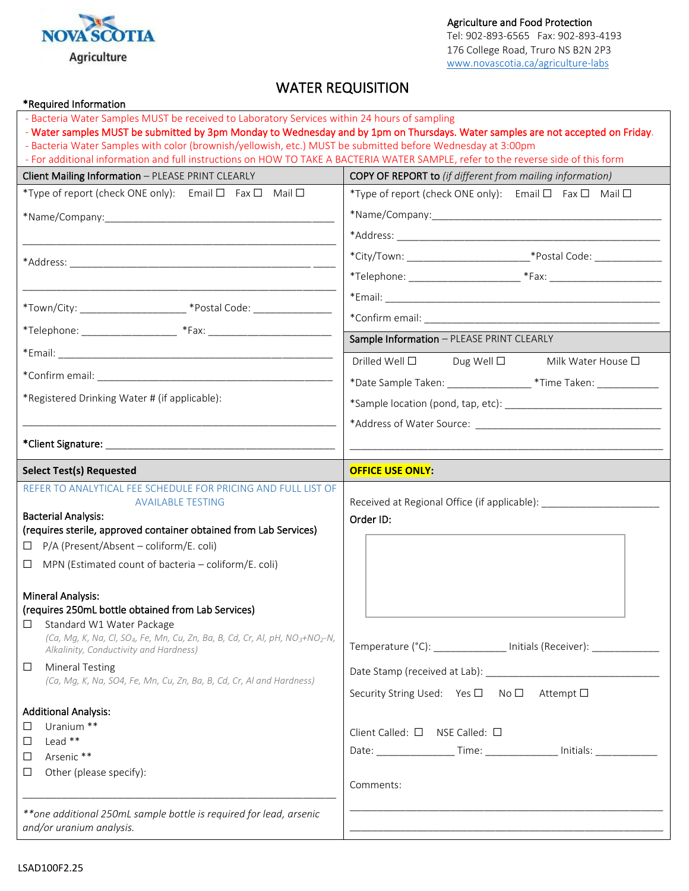

Agriculture and Food Protection

Tel: 902-893-6565 Fax: 902-893-4193 176 College Road, Truro NS B2N 2P3 [www.novascotia.ca/agriculture-labs](http://www.novascotia.ca/agriculture-labs)

## WATER REQUISITION

| - Bacteria Water Samples MUST be received to Laboratory Services within 24 hours of sampling                                                                |                                                                                  |
|-------------------------------------------------------------------------------------------------------------------------------------------------------------|----------------------------------------------------------------------------------|
|                                                                                                                                                             |                                                                                  |
| - Water samples MUST be submitted by 3pm Monday to Wednesday and by 1pm on Thursdays. Water samples are not accepted on Friday.                             |                                                                                  |
| - Bacteria Water Samples with color (brownish/yellowish, etc.) MUST be submitted before Wednesday at 3:00pm                                                 |                                                                                  |
| - For additional information and full instructions on HOW TO TAKE A BACTERIA WATER SAMPLE, refer to the reverse side of this form                           |                                                                                  |
| Client Mailing Information - PLEASE PRINT CLEARLY                                                                                                           | <b>COPY OF REPORT to</b> (if different from mailing information)                 |
| *Type of report (check ONE only): Email $\Box$ Fax $\Box$ Mail $\Box$                                                                                       | *Type of report (check ONE only): Email $\Box$ Fax $\Box$ Mail $\Box$            |
|                                                                                                                                                             |                                                                                  |
|                                                                                                                                                             |                                                                                  |
|                                                                                                                                                             | *City/Town: __________________________________*Postal Code: ____________________ |
|                                                                                                                                                             | *Telephone: _________________________________*Fax: _____________________________ |
|                                                                                                                                                             |                                                                                  |
| *Town/City: _________________________ *Postal Code: ____________________________                                                                            |                                                                                  |
|                                                                                                                                                             |                                                                                  |
|                                                                                                                                                             | Sample Information - PLEASE PRINT CLEARLY                                        |
|                                                                                                                                                             | Drilled Well $\Box$<br>Dug Well $\Box$<br>Milk Water House □                     |
|                                                                                                                                                             | *Date Sample Taken: ___________________ *Time Taken: _____________               |
| *Registered Drinking Water # (if applicable):                                                                                                               |                                                                                  |
|                                                                                                                                                             |                                                                                  |
|                                                                                                                                                             |                                                                                  |
| <b>Select Test(s) Requested</b>                                                                                                                             | <b>OFFICE USE ONLY:</b>                                                          |
| REFER TO ANALYTICAL FEE SCHEDULE FOR PRICING AND FULL LIST OF                                                                                               |                                                                                  |
| <b>AVAILABLE TESTING</b>                                                                                                                                    | Received at Regional Office (if applicable): ___________________________________ |
| <b>Bacterial Analysis:</b><br>(requires sterile, approved container obtained from Lab Services)                                                             | Order ID:                                                                        |
| P/A (Present/Absent - coliform/E. coli)<br>⊔                                                                                                                |                                                                                  |
| MPN (Estimated count of bacteria - coliform/E. coli)<br>⊔                                                                                                   |                                                                                  |
|                                                                                                                                                             |                                                                                  |
|                                                                                                                                                             |                                                                                  |
|                                                                                                                                                             |                                                                                  |
| <b>Mineral Analysis:</b><br>(requires 250mL bottle obtained from Lab Services)                                                                              |                                                                                  |
| Standard W1 Water Package<br>⊔                                                                                                                              |                                                                                  |
| (Ca, Mg, K, Na, Cl, SO <sub>4</sub> , Fe, Mn, Cu, Zn, Ba, B, Cd, Cr, Al, pH, NO <sub>3</sub> +NO <sub>2</sub> -N,<br>Alkalinity, Conductivity and Hardness) | Temperature (°C): ______________ Initials (Receiver): ____________               |
| <b>Mineral Testing</b><br>$\Box$                                                                                                                            |                                                                                  |
| (Ca, Mg, K, Na, SO4, Fe, Mn, Cu, Zn, Ba, B, Cd, Cr, Al and Hardness)                                                                                        | Security String Used: Yes □ No □ Attempt □                                       |
|                                                                                                                                                             |                                                                                  |
| <b>Additional Analysis:</b><br>Uranium **<br>$\Box$                                                                                                         |                                                                                  |
| Lead **<br>$\Box$                                                                                                                                           | Client Called: $\square$ NSE Called: $\square$                                   |
| Arsenic **<br>□                                                                                                                                             | Date: ____________________Time: ___________________ Initials: __________________ |
| Other (please specify):<br>□                                                                                                                                |                                                                                  |
|                                                                                                                                                             | Comments:                                                                        |
| ** one additional 250mL sample bottle is required for lead, arsenic                                                                                         |                                                                                  |